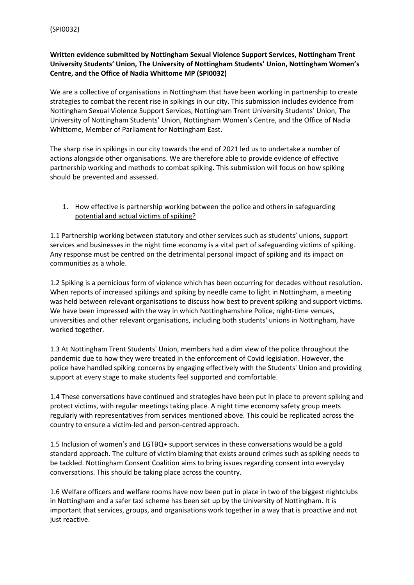# **Written evidence submitted by Nottingham Sexual Violence Support Services, Nottingham Trent University Students' Union, The University of Nottingham Students' Union, Nottingham Women's Centre, and the Office of Nadia Whittome MP (SPI0032)**

We are a collective of organisations in Nottingham that have been working in partnership to create strategies to combat the recent rise in spikings in our city. This submission includes evidence from Nottingham Sexual Violence Support Services, Nottingham Trent University Students' Union, The University of Nottingham Students' Union, Nottingham Women's Centre, and the Office of Nadia Whittome, Member of Parliament for Nottingham East.

The sharp rise in spikings in our city towards the end of 2021 led us to undertake a number of actions alongside other organisations. We are therefore able to provide evidence of effective partnership working and methods to combat spiking. This submission will focus on how spiking should be prevented and assessed.

## 1. How effective is partnership working between the police and others in safeguarding potential and actual victims of spiking?

1.1 Partnership working between statutory and other services such as students' unions, support services and businesses in the night time economy is a vital part of safeguarding victims of spiking. Any response must be centred on the detrimental personal impact of spiking and its impact on communities as a whole.

1.2 Spiking is a pernicious form of violence which has been occurring for decades without resolution. When reports of increased spikings and spiking by needle came to light in Nottingham, a meeting was held between relevant organisations to discuss how best to prevent spiking and support victims. We have been impressed with the way in which Nottinghamshire Police, night-time venues, universities and other relevant organisations, including both students' unions in Nottingham, have worked together.

1.3 At Nottingham Trent Students' Union, members had a dim view of the police throughout the pandemic due to how they were treated in the enforcement of Covid legislation. However, the police have handled spiking concerns by engaging effectively with the Students' Union and providing support at every stage to make students feel supported and comfortable.

1.4 These conversations have continued and strategies have been put in place to prevent spiking and protect victims, with regular meetings taking place. A night time economy safety group meets regularly with representatives from services mentioned above. This could be replicated across the country to ensure a victim-led and person-centred approach.

1.5 Inclusion of women's and LGTBQ+ support services in these conversations would be a gold standard approach. The culture of victim blaming that exists around crimes such as spiking needs to be tackled. Nottingham Consent Coalition aims to bring issues regarding consent into everyday conversations. This should be taking place across the country.

1.6 Welfare officers and welfare rooms have now been put in place in two of the biggest nightclubs in Nottingham and a safer taxi scheme has been set up by the University of Nottingham. It is important that services, groups, and organisations work together in a way that is proactive and not just reactive.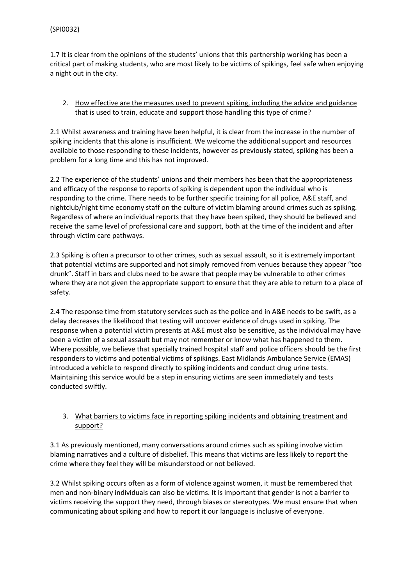1.7 It is clear from the opinions of the students' unions that this partnership working has been a critical part of making students, who are most likely to be victims of spikings, feel safe when enjoying a night out in the city.

## 2. How effective are the measures used to prevent spiking, including the advice and guidance that is used to train, educate and support those handling this type of crime?

2.1 Whilst awareness and training have been helpful, it is clear from the increase in the number of spiking incidents that this alone is insufficient. We welcome the additional support and resources available to those responding to these incidents, however as previously stated, spiking has been a problem for a long time and this has not improved.

2.2 The experience of the students' unions and their members has been that the appropriateness and efficacy of the response to reports of spiking is dependent upon the individual who is responding to the crime. There needs to be further specific training for all police, A&E staff, and nightclub/night time economy staff on the culture of victim blaming around crimes such as spiking. Regardless of where an individual reports that they have been spiked, they should be believed and receive the same level of professional care and support, both at the time of the incident and after through victim care pathways.

2.3 Spiking is often a precursor to other crimes, such as sexual assault, so it is extremely important that potential victims are supported and not simply removed from venues because they appear "too drunk". Staff in bars and clubs need to be aware that people may be vulnerable to other crimes where they are not given the appropriate support to ensure that they are able to return to a place of safety.

2.4 The response time from statutory services such as the police and in A&E needs to be swift, as a delay decreases the likelihood that testing will uncover evidence of drugs used in spiking. The response when a potential victim presents at A&E must also be sensitive, as the individual may have been a victim of a sexual assault but may not remember or know what has happened to them. Where possible, we believe that specially trained hospital staff and police officers should be the first responders to victims and potential victims of spikings. East Midlands Ambulance Service (EMAS) introduced a vehicle to respond directly to spiking incidents and conduct drug urine tests. Maintaining this service would be a step in ensuring victims are seen immediately and tests conducted swiftly.

## 3. What barriers to victims face in reporting spiking incidents and obtaining treatment and support?

3.1 As previously mentioned, many conversations around crimes such as spiking involve victim blaming narratives and a culture of disbelief. This means that victims are less likely to report the crime where they feel they will be misunderstood or not believed.

3.2 Whilst spiking occurs often as a form of violence against women, it must be remembered that men and non-binary individuals can also be victims. It is important that gender is not a barrier to victims receiving the support they need, through biases or stereotypes. We must ensure that when communicating about spiking and how to report it our language is inclusive of everyone.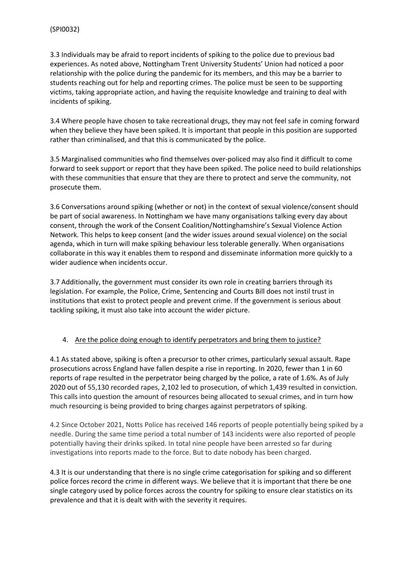3.3 Individuals may be afraid to report incidents of spiking to the police due to previous bad experiences. As noted above, Nottingham Trent University Students' Union had noticed a poor relationship with the police during the pandemic for its members, and this may be a barrier to students reaching out for help and reporting crimes. The police must be seen to be supporting victims, taking appropriate action, and having the requisite knowledge and training to deal with incidents of spiking.

3.4 Where people have chosen to take recreational drugs, they may not feel safe in coming forward when they believe they have been spiked. It is important that people in this position are supported rather than criminalised, and that this is communicated by the police.

3.5 Marginalised communities who find themselves over-policed may also find it difficult to come forward to seek support or report that they have been spiked. The police need to build relationships with these communities that ensure that they are there to protect and serve the community, not prosecute them.

3.6 Conversations around spiking (whether or not) in the context of sexual violence/consent should be part of social awareness. In Nottingham we have many organisations talking every day about consent, through the work of the Consent Coalition/Nottinghamshire's Sexual Violence Action Network. This helps to keep consent (and the wider issues around sexual violence) on the social agenda, which in turn will make spiking behaviour less tolerable generally. When organisations collaborate in this way it enables them to respond and disseminate information more quickly to a wider audience when incidents occur.

3.7 Additionally, the government must consider its own role in creating barriers through its legislation. For example, the Police, Crime, Sentencing and Courts Bill does not instil trust in institutions that exist to protect people and prevent crime. If the government is serious about tackling spiking, it must also take into account the wider picture.

## 4. Are the police doing enough to identify perpetrators and bring them to justice?

4.1 As stated above, spiking is often a precursor to other crimes, particularly sexual assault. Rape prosecutions across England have fallen despite a rise in reporting. In 2020, fewer than 1 in 60 reports of rape resulted in the perpetrator being charged by the police, a rate of 1.6%. As of July 2020 out of 55,130 recorded rapes, 2,102 led to prosecution, of which 1,439 resulted in conviction. This calls into question the amount of resources being allocated to sexual crimes, and in turn how much resourcing is being provided to bring charges against perpetrators of spiking.

4.2 Since October 2021, Notts Police has received 146 reports of people potentially being spiked by a needle. During the same time period a total number of 143 incidents were also reported of people potentially having their drinks spiked. In total nine people have been arrested so far during investigations into reports made to the force. But to date nobody has been charged.

4.3 It is our understanding that there is no single crime categorisation for spiking and so different police forces record the crime in different ways. We believe that it is important that there be one single category used by police forces across the country for spiking to ensure clear statistics on its prevalence and that it is dealt with with the severity it requires.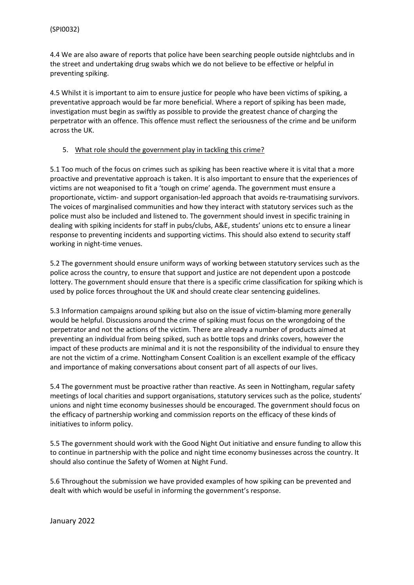4.4 We are also aware of reports that police have been searching people outside nightclubs and in the street and undertaking drug swabs which we do not believe to be effective or helpful in preventing spiking.

4.5 Whilst it is important to aim to ensure justice for people who have been victims of spiking, a preventative approach would be far more beneficial. Where a report of spiking has been made, investigation must begin as swiftly as possible to provide the greatest chance of charging the perpetrator with an offence. This offence must reflect the seriousness of the crime and be uniform across the UK.

### 5. What role should the government play in tackling this crime?

5.1 Too much of the focus on crimes such as spiking has been reactive where it is vital that a more proactive and preventative approach is taken. It is also important to ensure that the experiences of victims are not weaponised to fit a 'tough on crime' agenda. The government must ensure a proportionate, victim- and support organisation-led approach that avoids re-traumatising survivors. The voices of marginalised communities and how they interact with statutory services such as the police must also be included and listened to. The government should invest in specific training in dealing with spiking incidents for staff in pubs/clubs, A&E, students' unions etc to ensure a linear response to preventing incidents and supporting victims. This should also extend to security staff working in night-time venues.

5.2 The government should ensure uniform ways of working between statutory services such as the police across the country, to ensure that support and justice are not dependent upon a postcode lottery. The government should ensure that there is a specific crime classification for spiking which is used by police forces throughout the UK and should create clear sentencing guidelines.

5.3 Information campaigns around spiking but also on the issue of victim-blaming more generally would be helpful. Discussions around the crime of spiking must focus on the wrongdoing of the perpetrator and not the actions of the victim. There are already a number of products aimed at preventing an individual from being spiked, such as bottle tops and drinks covers, however the impact of these products are minimal and it is not the responsibility of the individual to ensure they are not the victim of a crime. Nottingham Consent Coalition is an excellent example of the efficacy and importance of making conversations about consent part of all aspects of our lives.

5.4 The government must be proactive rather than reactive. As seen in Nottingham, regular safety meetings of local charities and support organisations, statutory services such as the police, students' unions and night time economy businesses should be encouraged. The government should focus on the efficacy of partnership working and commission reports on the efficacy of these kinds of initiatives to inform policy.

5.5 The government should work with the Good Night Out initiative and ensure funding to allow this to continue in partnership with the police and night time economy businesses across the country. It should also continue the Safety of Women at Night Fund.

5.6 Throughout the submission we have provided examples of how spiking can be prevented and dealt with which would be useful in informing the government's response.

January 2022